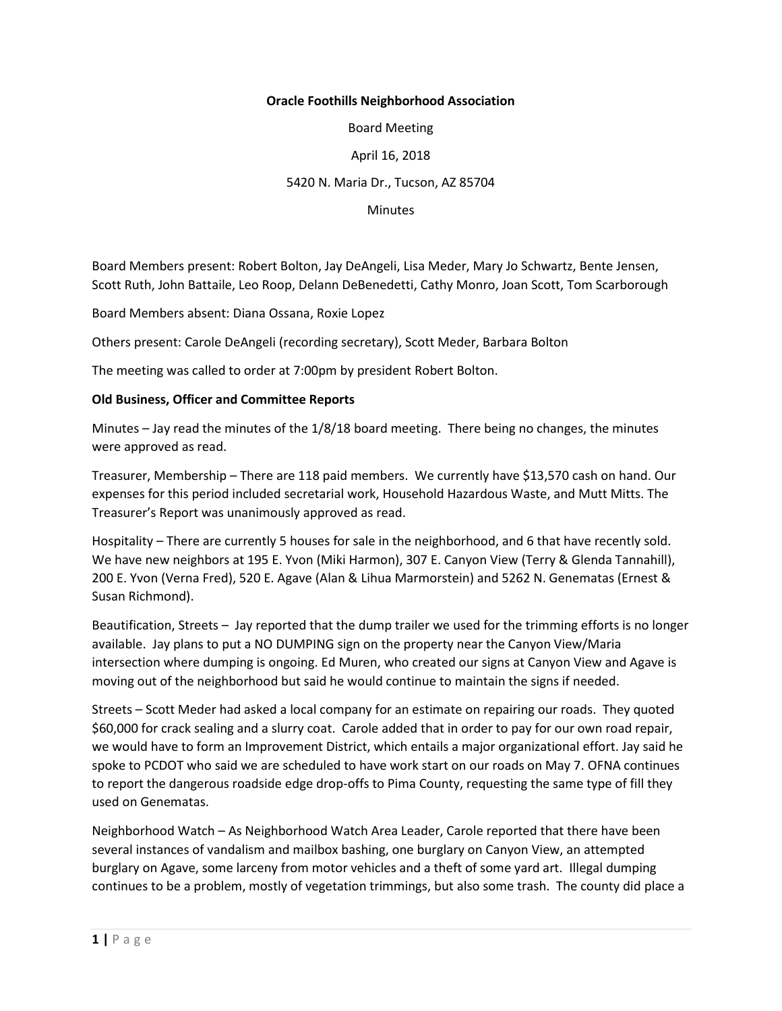## **Oracle Foothills Neighborhood Association**

Board Meeting

April 16, 2018

## 5420 N. Maria Dr., Tucson, AZ 85704

**Minutes** 

Board Members present: Robert Bolton, Jay DeAngeli, Lisa Meder, Mary Jo Schwartz, Bente Jensen, Scott Ruth, John Battaile, Leo Roop, Delann DeBenedetti, Cathy Monro, Joan Scott, Tom Scarborough

Board Members absent: Diana Ossana, Roxie Lopez

Others present: Carole DeAngeli (recording secretary), Scott Meder, Barbara Bolton

The meeting was called to order at 7:00pm by president Robert Bolton.

## **Old Business, Officer and Committee Reports**

Minutes – Jay read the minutes of the 1/8/18 board meeting. There being no changes, the minutes were approved as read.

Treasurer, Membership – There are 118 paid members. We currently have \$13,570 cash on hand. Our expenses for this period included secretarial work, Household Hazardous Waste, and Mutt Mitts. The Treasurer's Report was unanimously approved as read.

Hospitality – There are currently 5 houses for sale in the neighborhood, and 6 that have recently sold. We have new neighbors at 195 E. Yvon (Miki Harmon), 307 E. Canyon View (Terry & Glenda Tannahill), 200 E. Yvon (Verna Fred), 520 E. Agave (Alan & Lihua Marmorstein) and 5262 N. Genematas (Ernest & Susan Richmond).

Beautification, Streets – Jay reported that the dump trailer we used for the trimming efforts is no longer available. Jay plans to put a NO DUMPING sign on the property near the Canyon View/Maria intersection where dumping is ongoing. Ed Muren, who created our signs at Canyon View and Agave is moving out of the neighborhood but said he would continue to maintain the signs if needed.

Streets – Scott Meder had asked a local company for an estimate on repairing our roads. They quoted \$60,000 for crack sealing and a slurry coat. Carole added that in order to pay for our own road repair, we would have to form an Improvement District, which entails a major organizational effort. Jay said he spoke to PCDOT who said we are scheduled to have work start on our roads on May 7. OFNA continues to report the dangerous roadside edge drop-offs to Pima County, requesting the same type of fill they used on Genematas.

Neighborhood Watch – As Neighborhood Watch Area Leader, Carole reported that there have been several instances of vandalism and mailbox bashing, one burglary on Canyon View, an attempted burglary on Agave, some larceny from motor vehicles and a theft of some yard art. Illegal dumping continues to be a problem, mostly of vegetation trimmings, but also some trash. The county did place a